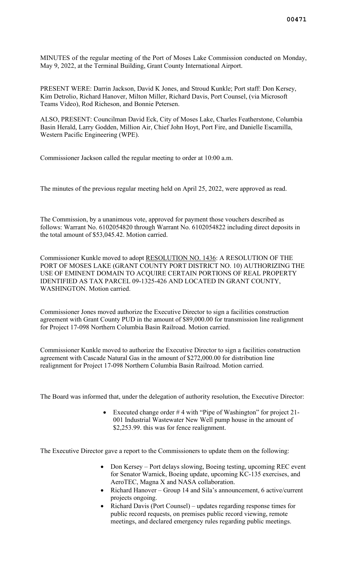MINUTES of the regular meeting of the Port of Moses Lake Commission conducted on Monday, May 9, 2022, at the Terminal Building, Grant County International Airport.

PRESENT WERE: Darrin Jackson, David K Jones, and Stroud Kunkle; Port staff: Don Kersey, Kim Detrolio, Richard Hanover, Milton Miller, Richard Davis, Port Counsel, (via Microsoft Teams Video), Rod Richeson, and Bonnie Petersen.

ALSO, PRESENT: Councilman David Eck, City of Moses Lake, Charles Featherstone, Columbia Basin Herald, Larry Godden, Million Air, Chief John Hoyt, Port Fire, and Danielle Escamilla, Western Pacific Engineering (WPE).

Commissioner Jackson called the regular meeting to order at 10:00 a.m.

The minutes of the previous regular meeting held on April 25, 2022, were approved as read.

The Commission, by a unanimous vote, approved for payment those vouchers described as follows: Warrant No. 6102054820 through Warrant No. 6102054822 including direct deposits in the total amount of \$53,045.42. Motion carried.

Commissioner Kunkle moved to adopt RESOLUTION NO. 1436: A RESOLUTION OF THE PORT OF MOSES LAKE (GRANT COUNTY PORT DISTRICT NO. 10) AUTHORIZING THE USE OF EMINENT DOMAIN TO ACQUIRE CERTAIN PORTIONS OF REAL PROPERTY IDENTIFIED AS TAX PARCEL 09-1325-426 AND LOCATED IN GRANT COUNTY, WASHINGTON. Motion carried.

Commissioner Jones moved authorize the Executive Director to sign a facilities construction agreement with Grant County PUD in the amount of \$89,000.00 for transmission line realignment for Project 17-098 Northern Columbia Basin Railroad. Motion carried.

Commissioner Kunkle moved to authorize the Executive Director to sign a facilities construction agreement with Cascade Natural Gas in the amount of \$272,000.00 for distribution line realignment for Project 17-098 Northern Columbia Basin Railroad. Motion carried.

The Board was informed that, under the delegation of authority resolution, the Executive Director:

• Executed change order # 4 with "Pipe of Washington" for project 21- 001 Industrial Wastewater New Well pump house in the amount of \$2,253.99. this was for fence realignment.

The Executive Director gave a report to the Commissioners to update them on the following:

- Don Kersey Port delays slowing, Boeing testing, upcoming REC event for Senator Warnick, Boeing update, upcoming KC-135 exercises, and AeroTEC, Magna X and NASA collaboration.
- Richard Hanover Group 14 and Sila's announcement, 6 active/current projects ongoing.
- Richard Davis (Port Counsel) updates regarding response times for public record requests, on premises public record viewing, remote meetings, and declared emergency rules regarding public meetings.